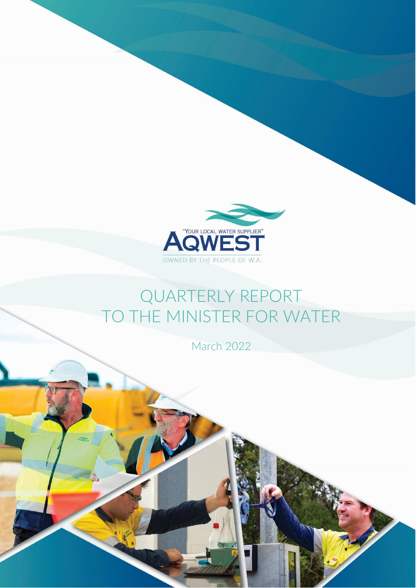

## QUARTERLY REPORT TO THE MINISTER FOR WATER

March 2022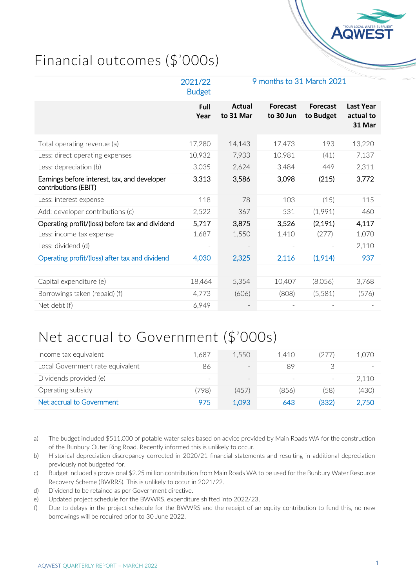

## Financial outcomes (\$'000s)

|                                                                      | 2021/22<br><b>Budget</b> | 9 months to 31 March 2021 |                              |                              |                                         |
|----------------------------------------------------------------------|--------------------------|---------------------------|------------------------------|------------------------------|-----------------------------------------|
|                                                                      | Full<br>Year             | Actual<br>to 31 Mar       | <b>Forecast</b><br>to 30 Jun | <b>Forecast</b><br>to Budget | <b>Last Year</b><br>actual to<br>31 Mar |
| Total operating revenue (a)                                          | 17,280                   | 14,143                    | 17,473                       | 193                          | 13,220                                  |
| Less: direct operating expenses                                      | 10,932                   | 7,933                     | 10,981                       | (41)                         | 7,137                                   |
| Less: depreciation (b)                                               | 3,035                    | 2,624                     | 3,484                        | 449                          | 2,311                                   |
| Earnings before interest, tax, and developer<br>contributions (EBIT) | 3,313                    | 3,586                     | 3,098                        | (215)                        | 3,772                                   |
| Less: interest expense                                               | 118                      | 78                        | 103                          | (15)                         | 115                                     |
| Add: developer contributions (c)                                     | 2,522                    | 367                       | 531                          | (1,991)                      | 460                                     |
| Operating profit/(loss) before tax and dividend                      | 5,717                    | 3,875                     | 3,526                        | (2, 191)                     | 4,117                                   |
| Less: income tax expense                                             | 1,687                    | 1,550                     | 1,410                        | (277)                        | 1,070                                   |
| Less: dividend (d)                                                   | $\overline{a}$           |                           |                              |                              | 2,110                                   |
| Operating profit/(loss) after tax and dividend                       | 4,030                    | 2,325                     | 2,116                        | (1,914)                      | 937                                     |
|                                                                      |                          |                           |                              |                              |                                         |
| Capital expenditure (e)                                              | 18,464                   | 5,354                     | 10,407                       | (8,056)                      | 3,768                                   |
| Borrowings taken (repaid) (f)                                        | 4,773                    | (606)                     | (808)                        | (5,581)                      | (576)                                   |
| Net debt (f)                                                         | 6,949                    |                           |                              |                              |                                         |

## Net accrual to Government (\$'000s)

| Income tax equivalent            | 1.687                    | 1.550             | 1.410                    | (277) | 1.070 |
|----------------------------------|--------------------------|-------------------|--------------------------|-------|-------|
| Local Government rate equivalent | 86                       | $\qquad \qquad -$ | 89                       |       |       |
| Dividends provided (e)           | $\overline{\phantom{a}}$ | $\qquad \qquad -$ | $\overline{\phantom{a}}$ |       | 2.110 |
| Operating subsidy                | (798)                    | (457)             | (856)                    | (58)  | (430) |
| Net accrual to Government        | 975                      | 1,093             | 643                      | (332) | 2,750 |

- a) The budget included \$511,000 of potable water sales based on advice provided by Main Roads WA for the construction of the Bunbury Outer Ring Road. Recently informed this is unlikely to occur.
- b) Historical depreciation discrepancy corrected in 2020/21 financial statements and resulting in additional depreciation previously not budgeted for.
- c) Budget included a provisional \$2.25 million contribution from Main Roads WA to be used for the Bunbury Water Resource Recovery Scheme (BWRRS). This is unlikely to occur in 2021/22.
- d) Dividend to be retained as per Government directive.
- e) Updated project schedule for the BWWRS, expenditure shifted into 2022/23.
- f) Due to delays in the project schedule for the BWWRS and the receipt of an equity contribution to fund this, no new borrowings will be required prior to 30 June 2022.